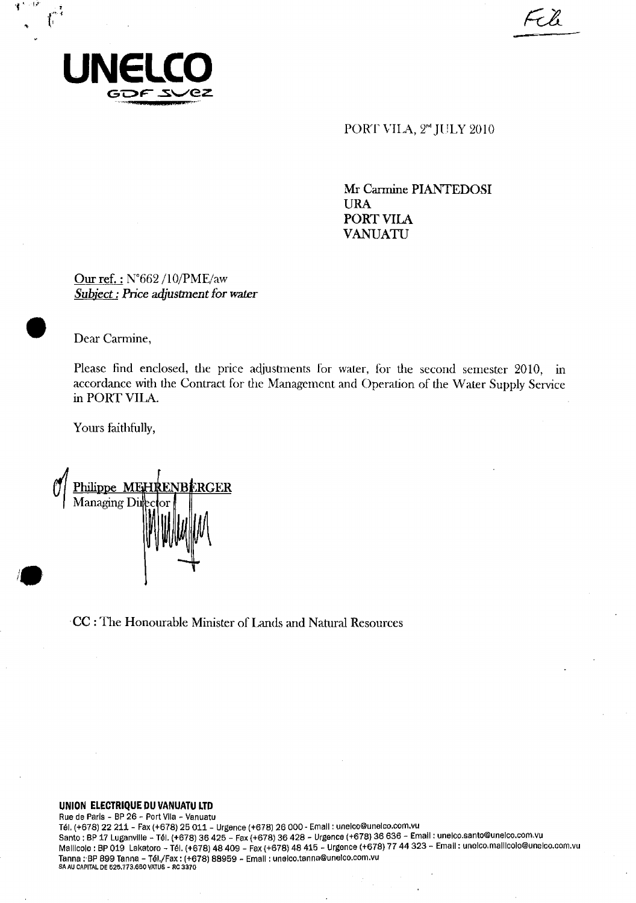

فوات 4

Ŀ

PORT VILA, 2<sup>nd</sup> JULY 2010

FCli

Mr Carmine **PIANTEDOSI URA PORT VILA VANUATU** 

Our ref. : N°662 /10/PME/aw *Subject : Price adjustment for water* 

• Dear Carmine,

Please find enclosed, the price adjustments for water, for the second semester 2010, in accordance with the Contract for the Management and Operation of the Water Supply Service in PORT VILA.

Yours faithfully,

<u>ilippe MEHRENBERGER</u> Managing Dii

CC : The Honourable Minister of Lands and Natural Resources

### **UNION ELECTRIQUE DU VANUATU LTD**

Rue de Paris - BP 26 - Port Vila - Vanuatu Tel. (+678) 22 211 - Fax (+678) 25 011 - Urgence (+678) 26 000 - Email : unelco@unelco.corn.vu Santo : BP 17 Luganville - Tél. (+678) 36 425 - Fax (+678) 36 428 - Urgence (+678) 36 636 - Email : unelco.santo@unelco.com.vu MaIlloolo : BP 019 Lakatoro Tel. (+678) 48 409 - Fax (+678) 48 415 - Urgence (+678) 77 44 323 - Email : unelco.mallicolo@uneloo.com.vu Tanna : BP 899 Tanna - Tél./Fax : (+678) 88959 - Email : unelco.tanna@unelco.com.vu SA AU CAPITAL DE 525.773,660 VATUS - RC 3370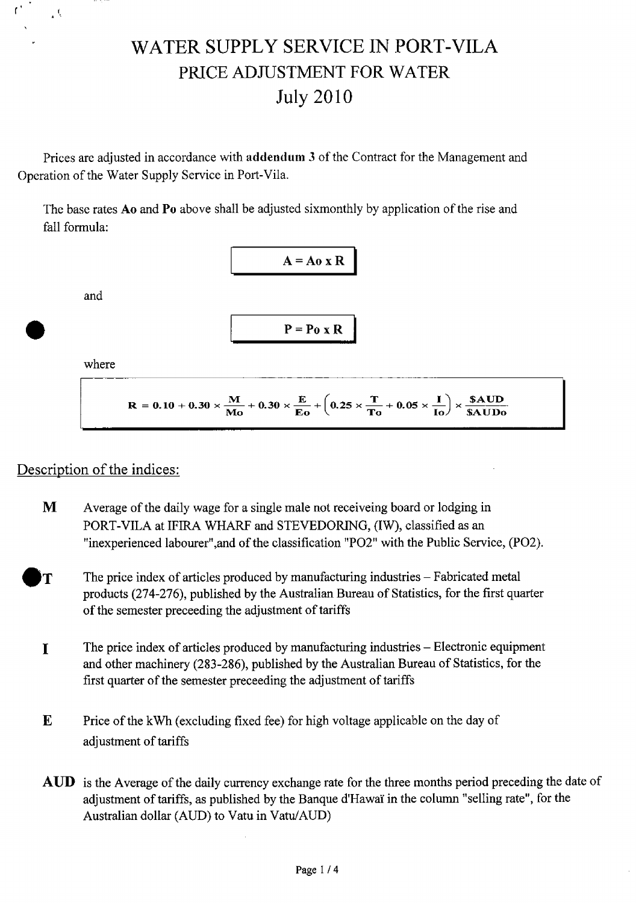# WATER SUPPLY SERVICE IN PORT-VILA PRICE ADJUSTMENT FOR WATER July 2010

Prices are adjusted in accordance with **addendum** 3 of the Contract for the Management and Operation of the Water Supply Service in Port-Vila.

The base rates Ao and **Po** above shall be adjusted sixmonthly by application of the rise and fall formula:



where

and

 $\bullet$ 

 $\mathbf{r}^*$ 

 $\mathcal{L}_k$ 

$$
R=0.10+0.30\times \frac{M}{Mo}+0.30\times \frac{E}{Eo}+\left(0.25\times \frac{T}{To}+0.05\times \frac{I}{Io}\right)\times \frac{$\text{AUD}}{\$ \text{AUDo}}
$$

### Description of the indices:

- M Average of the daily wage for a single male not receiveing board or lodging in PORT-VILA at IFIRA WHARF and STEVEDORING, (IW), classified as an "inexperienced labourer",and of the classification "P02" with the Public Service, (P02).
- $\mathbf{T}$  The price index of articles produced by manufacturing industries Fabricated metal products (274-276), published by the Australian Bureau of Statistics, for the first quarter of the semester preceeding the adjustment of tariffs
	- The price index of articles produced by manufacturing industries Electronic equipment  $\mathbf{I}$ and other machinery (283-286), published by the Australian Bureau of Statistics, for the first quarter of the semester preceeding the adjustment of tariffs
	- $\mathbf{E}$  Price of the kWh (excluding fixed fee) for high voltage applicable on the day of adjustment of tariffs
	- AUD is the Average of the daily currency exchange rate for the three months period preceding the date of adjustment of tariffs, as published by the Banque d'Hawaï in the column "selling rate", for the Australian dollar (AUD) to Vatu in Vatu/AUD)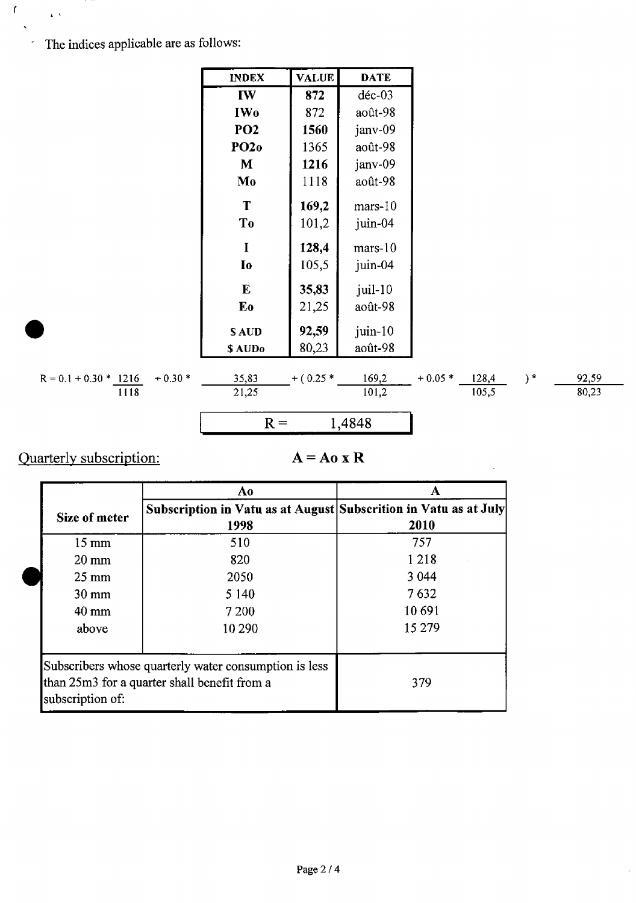The indices applicable are as follows:

 $\mathbf{f}_\parallel$ 

 $\mathbf{r}^{\top}$ 

| <b>INDEX</b>    | <b>VALUE</b> | DATE       |
|-----------------|--------------|------------|
| IW              | 872          | déc-03     |
| IW <sub>0</sub> | 872          | août-98    |
| PO <sub>2</sub> | 1560         | janv-09    |
| <b>PO20</b>     | 1365         | août-98    |
| М               | 1216         | janv-09    |
| Mo              | 1118         | août-98    |
| T               | 169,2        | mars-10    |
| T <sub>0</sub>  | 101,2        | juin-04    |
| T               | 128,4        | mars-10    |
| I <sub>0</sub>  | 105,5        | juin-04    |
| F.              | 35,83        | $j$ uil-10 |
| Eo              | 21,25        | août-98    |
| S AUD           | 92,59        | $j$ uin-10 |
| \$ AUDo         | 80,23        | août-98    |
|                 |              |            |

$$
R = 0.1 + 0.30 * \frac{1216}{1118} + 0.30
$$

 $-$ <sup>+ (0.25 \*</sup>  $\frac{169,2}{101,2}$  + 0.05 \*  $\frac{128,4}{105,5}$  $\frac{35,83}{21,25}$ 

$$
R = 1,4848
$$

Quarterly subscription:

### $A = A_0 x R$

)  $^\ast$ 

 $\frac{92,59}{80,23}$ 

|                                                                                                                           | Ao                                                                       |         |
|---------------------------------------------------------------------------------------------------------------------------|--------------------------------------------------------------------------|---------|
| Size of meter                                                                                                             | Subscription in Vatu as at August Subscrition in Vatu as at July<br>1998 | 2010    |
| $15 \text{ mm}$                                                                                                           | 510                                                                      | 757     |
| $20 \text{ mm}$                                                                                                           | 820                                                                      | 1 2 1 8 |
| $25 \text{ mm}$                                                                                                           | 2050                                                                     | 3 0 4 4 |
| $30 \text{ mm}$                                                                                                           | 5 1 4 0                                                                  | 7632    |
| $40 \text{ mm}$                                                                                                           | 7 200                                                                    | 10 691  |
| above                                                                                                                     | 10 290                                                                   | 15 279  |
| Subscribers whose quarterly water consumption is less<br>than 25m3 for a quarter shall benefit from a<br>subscription of: |                                                                          | 379     |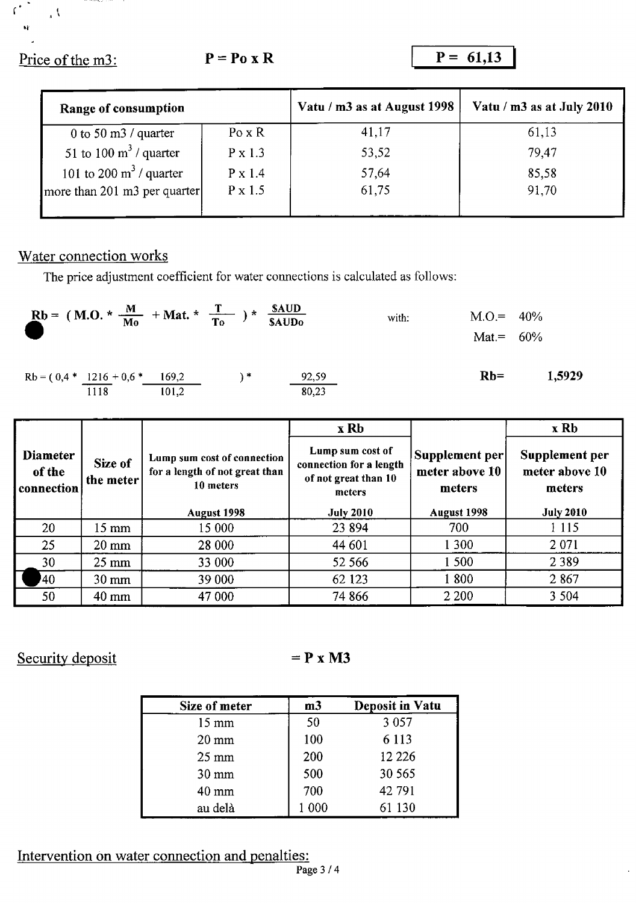Price of the m3: **P** = **Po** x **R** P = 61,13

 $\Lambda$ 

 $C^{\bullet}$ 

| Range of consumption              |                | Vatu / m3 as at August 1998 | Vatu / $m3$ as at July 2010 |
|-----------------------------------|----------------|-----------------------------|-----------------------------|
| 0 to 50 m3 / quarter              | $Po \times R$  | 41,17                       | 61,13                       |
| 51 to 100 $\text{m}^3$ / quarter  | P x 1.3        | 53,52                       | 79,47                       |
| 101 to 200 $\text{m}^3$ / quarter | $P \times 1.4$ | 57,64                       | 85,58                       |
| more than 201 m3 per quarter      | $P \times 1.5$ | 61,75                       | 91,70                       |
|                                   |                |                             |                             |

### Water connection works

The price adjustment coefficient for water connections is calculated as follows:

| Rb = (M.O. * $\frac{M}{M_0}$ + Mat. * $\frac{T}{T_0}$ ) * $\frac{\text{sAUD}}{\text{sAUD_0}}$ |       |                 |                | with: | $M.O. = 40\%$<br>Mat.= $60\%$ |        |
|-----------------------------------------------------------------------------------------------|-------|-----------------|----------------|-------|-------------------------------|--------|
| $Rb = (0,4 * 1216 + 0,6 * 169,2)$<br>1118                                                     | 101,2 | $\rightarrow$ * | 92,59<br>80,23 |       | $Rb=$                         | 1,5929 |

|                                         |                      |                                                                            | x Rb                                                                          |                                            | x Rb                                       |
|-----------------------------------------|----------------------|----------------------------------------------------------------------------|-------------------------------------------------------------------------------|--------------------------------------------|--------------------------------------------|
| <b>Diameter</b><br>of the<br>connection | Size of<br>the meter | Lump sum cost of connection<br>for a length of not great than<br>10 meters | Lump sum cost of<br>connection for a length<br>of not great than 10<br>meters | Supplement per<br>meter above 10<br>meters | Supplement per<br>meter above 10<br>meters |
|                                         |                      | August 1998                                                                | <b>July 2010</b>                                                              | August 1998                                | <b>July 2010</b>                           |
| 20                                      | $15 \text{ mm}$      | 15 000                                                                     | 23 8 94                                                                       | 700                                        | 1 1 1 5                                    |
| 25                                      | $20 \text{ mm}$      | 28 000                                                                     | 44 601                                                                        | 1 300                                      | 2 0 7 1                                    |
| 30                                      | $25 \text{ mm}$      | 33 000                                                                     | 52 566                                                                        | 1 500                                      | 2389                                       |
| $40^{\circ}$                            | $30 \text{ mm}$      | 39 000                                                                     | 62 123                                                                        | 1800                                       | 2867                                       |
| 50                                      | $40 \text{ mm}$      | 47 000                                                                     | 74 866                                                                        | 2 2 0 0                                    | 3 5 0 4                                    |

### Security deposit  $= P x M3$

| Size of meter   | m <sub>3</sub> | <b>Deposit in Vatu</b> |
|-----------------|----------------|------------------------|
| $15 \text{ mm}$ | 50             | 3 0 5 7                |
| $20 \text{ mm}$ | 100            | 6 1 1 3                |
| $25 \text{ mm}$ | 200            | 12 2 2 6               |
| $30 \text{ mm}$ | 500            | 30 565                 |
| $40 \text{ mm}$ | 700            | 42 791                 |
| au delà         | 000            | 61 130                 |

## Intervention on water connection and penalties: